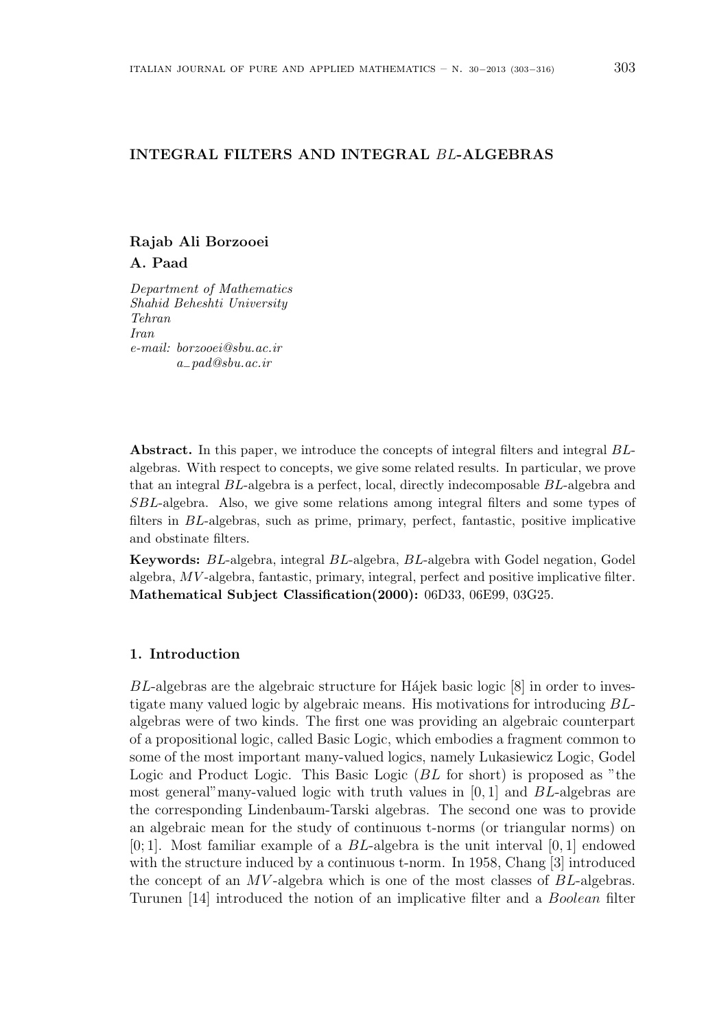## **INTEGRAL FILTERS AND INTEGRAL** *BL***-ALGEBRAS**

# **Rajab Ali Borzooei A. Paad**

*Department of Mathematics Shahid Beheshti University Tehran Iran e-mail: borzooei@sbu.ac.ir a−pad@sbu.ac.ir*

**Abstract.** In this paper, we introduce the concepts of integral filters and integral *BL*algebras. With respect to concepts, we give some related results. In particular, we prove that an integral *BL*-algebra is a perfect, local, directly indecomposable *BL*-algebra and *SBL*-algebra. Also, we give some relations among integral filters and some types of filters in *BL*-algebras, such as prime, primary, perfect, fantastic, positive implicative and obstinate filters.

**Keywords:** *BL*-algebra, integral *BL*-algebra, *BL*-algebra with Godel negation, Godel algebra, *MV* -algebra, fantastic, primary, integral, perfect and positive implicative filter. **Mathematical Subject Classification(2000):** 06D33, 06E99, 03G25.

### **1. Introduction**

*BL*-algebras are the algebraic structure for Hajek basic logic [8] in order to investigate many valued logic by algebraic means. His motivations for introducing *BL*algebras were of two kinds. The first one was providing an algebraic counterpart of a propositional logic, called Basic Logic, which embodies a fragment common to some of the most important many-valued logics, namely Lukasiewicz Logic, Godel Logic and Product Logic. This Basic Logic (*BL* for short) is proposed as "the most general"many-valued logic with truth values in [0*,* 1] and *BL*-algebras are the corresponding Lindenbaum-Tarski algebras. The second one was to provide an algebraic mean for the study of continuous t-norms (or triangular norms) on [0; 1]. Most familiar example of a *BL*-algebra is the unit interval [0*,* 1] endowed with the structure induced by a continuous t-norm. In 1958, Chang [3] introduced the concept of an *MV* -algebra which is one of the most classes of *BL*-algebras. Turunen [14] introduced the notion of an implicative filter and a *Boolean* filter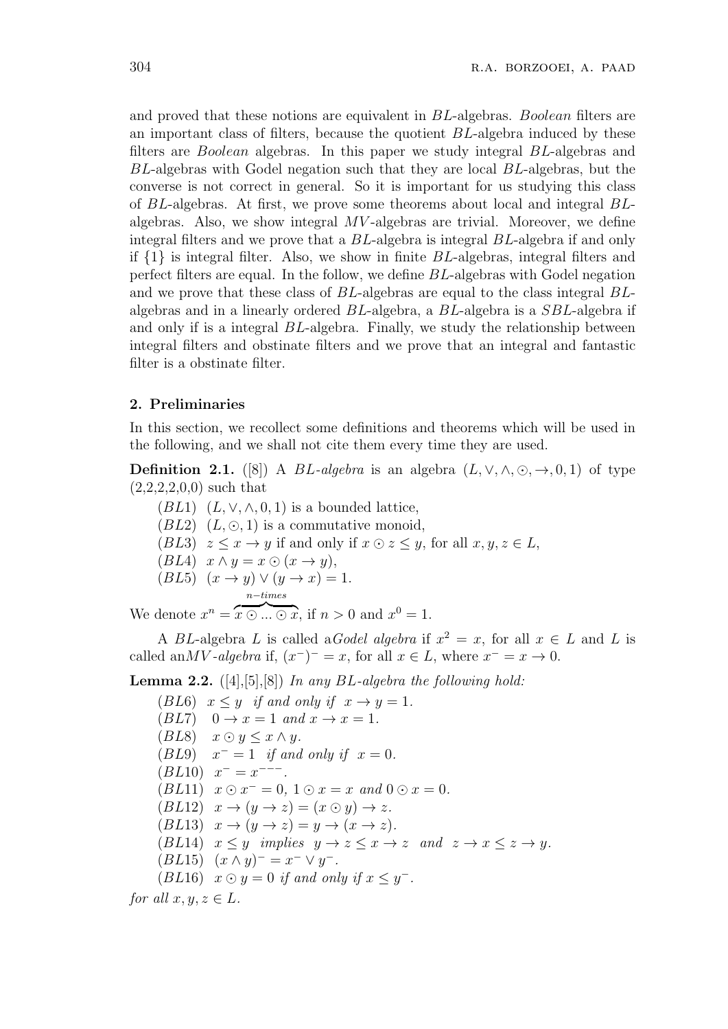and proved that these notions are equivalent in *BL*-algebras. *Boolean* filters are an important class of filters, because the quotient *BL*-algebra induced by these filters are *Boolean* algebras. In this paper we study integral *BL*-algebras and *BL*-algebras with Godel negation such that they are local *BL*-algebras, but the converse is not correct in general. So it is important for us studying this class of *BL*-algebras. At first, we prove some theorems about local and integral *BL*algebras. Also, we show integral *MV* -algebras are trivial. Moreover, we define integral filters and we prove that a *BL*-algebra is integral *BL*-algebra if and only if *{*1*}* is integral filter. Also, we show in finite *BL*-algebras, integral filters and perfect filters are equal. In the follow, we define *BL*-algebras with Godel negation and we prove that these class of *BL*-algebras are equal to the class integral *BL*algebras and in a linearly ordered *BL*-algebra, a *BL*-algebra is a *SBL*-algebra if and only if is a integral *BL*-algebra. Finally, we study the relationship between integral filters and obstinate filters and we prove that an integral and fantastic filter is a obstinate filter.

#### **2. Preliminaries**

In this section, we recollect some definitions and theorems which will be used in the following, and we shall not cite them every time they are used.

**Definition 2.1.** ([8]) A *BL*-algebra is an algebra  $(L, \vee, \wedge, \odot, \rightarrow, 0, 1)$  of type  $(2,2,2,2,0,0)$  such that

(*BL*1)  $(L, \vee, \wedge, 0, 1)$  is a bounded lattice,  $(BL2)$   $(L, \odot, 1)$  is a commutative monoid, (*BL*3)  $z \leq x \rightarrow y$  if and only if  $x \odot z \leq y$ , for all  $x, y, z \in L$ ,  $(BL4)$   $x \wedge y = x \odot (x \rightarrow y),$  $(BL5)$   $(x \rightarrow y) \vee (y \rightarrow x) = 1.$ *n−times*

We denote  $x^n = \overbrace{x \odot ... \odot x}$ , if  $n > 0$  and  $x^0 = 1$ .

A *BL*-algebra *L* is called a *Godel algebra* if  $x^2 = x$ , for all  $x \in L$  and *L* is called an*MV -algebra* if,  $(x^-)$ <sup> $-$ </sup> = *x*, for all  $x \in L$ , where  $x^- = x \rightarrow 0$ .

**Lemma 2.2.** ([4],[5],[8]) *In any BL-algebra the following hold:*

(*BL*6)  $x \leq y$  *if and only if*  $x \to y = 1$ *.*  $(BL7)$  0  $\rightarrow$   $x = 1$  and  $x \rightarrow x = 1$ .  $(BL8)$   $x \odot y \leq x \wedge y$ .  $(BL9)$  $x^- = 1$  *if and only if*  $x = 0$ *.*  $(BL10)$   $x^- = x^{---}$ .  $(BL11)$   $x \odot x = 0$ ,  $1 \odot x = x$  and  $0 \odot x = 0$ .  $(BL12)$   $x \to (y \to z) = (x \odot y) \to z$ .  $(BL13)$   $x \rightarrow (y \rightarrow z) = y \rightarrow (x \rightarrow z)$ . (*BL*14)  $x \leq y$  *implies*  $y \to z \leq x \to z$  *and*  $z \to x \leq z \to y$ *.*  $(BL15)$   $(x \wedge y)^{-} = x^{-} \vee y^{-}$ . (*BL*16)  $x \odot y = 0$  *if and only if*  $x \leq y^-$ . *for all*  $x, y, z \in L$ *.*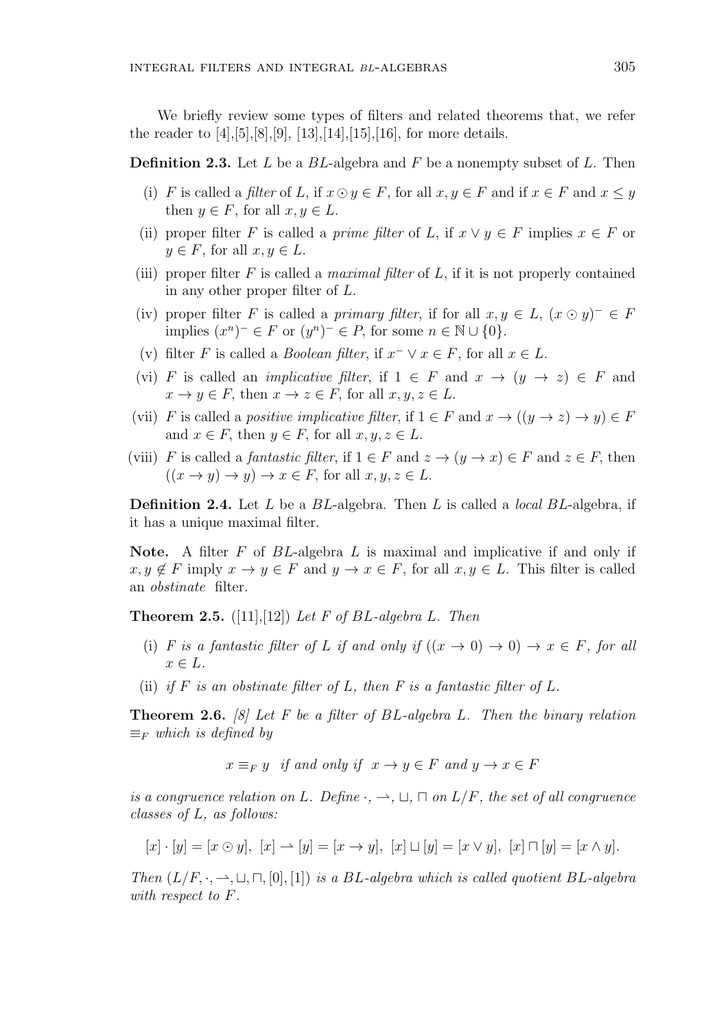We briefly review some types of filters and related theorems that, we refer the reader to  $[4]$ ,  $[5]$ ,  $[8]$ ,  $[9]$ ,  $[13]$ ,  $[14]$ ,  $[15]$ ,  $[16]$ , for more details.

**Definition 2.3.** Let *L* be a *BL*-algebra and *F* be a nonempty subset of *L*. Then

- (i) *F* is called a *filter* of *L*, if  $x \odot y \in F$ , for all  $x, y \in F$  and if  $x \in F$  and  $x \leq y$ then  $y \in F$ , for all  $x, y \in L$ .
- (ii) proper filter *F* is called a *prime filter* of *L*, if  $x \vee y \in F$  implies  $x \in F$  or  $y \in F$ , for all  $x, y \in L$ .
- (iii) proper filter *F* is called a *maximal filter* of *L*, if it is not properly contained in any other proper filter of *L*.
- (iv) proper filter *F* is called a *primary filter*, if for all  $x, y \in L$ ,  $(x \odot y)^{-} \in F$ implies  $(x^n)^-$  ∈ *F* or  $(y^n)^-$  ∈ *P*, for some  $n \in \mathbb{N} \cup \{0\}$ *.*
- (v) filter *F* is called a *Boolean filter*, if  $x^- \vee x \in F$ , for all  $x \in L$ .
- (vi) *F* is called an *implicative filter*, if  $1 \in F$  and  $x \to (y \to z) \in F$  and  $x \to y \in F$ , then  $x \to z \in F$ , for all  $x, y, z \in L$ .
- (vii) *F* is called a *positive implicative filter*, if  $1 \in F$  and  $x \to ((y \to z) \to y) \in F$ and  $x \in F$ , then  $y \in F$ , for all  $x, y, z \in L$ .
- (viii) *F* is called a *fantastic filter*, if  $1 \in F$  and  $z \to (y \to x) \in F$  and  $z \in F$ , then  $((x \rightarrow y) \rightarrow y) \rightarrow x \in F$ , for all  $x, y, z \in L$ .

**Definition 2.4.** Let *L* be a *BL*-algebra. Then *L* is called a *local BL*-algebra, if it has a unique maximal filter.

**Note.** A filter *F* of *BL*-algebra *L* is maximal and implicative if and only if  $x, y \notin F$  imply  $x \to y \in F$  and  $y \to x \in F$ , for all  $x, y \in L$ . This filter is called an *obstinate* filter.

**Theorem 2.5.** ([11],[12]) *Let F of BL-algebra L. Then*

- (i) *F* is a fantastic filter of *L* if and only if  $((x \to 0) \to 0) \to x \in F$ , for all *x ∈ L.*
- (ii) *if*  $F$  *is an obstinate filter of*  $L$ *, then*  $F$  *is a fantastic filter of*  $L$ *.*

**Theorem 2.6.** *[8] Let F be a filter of BL-algebra L. Then the binary relation ≡<sup>F</sup> which is defined by*

 $x \equiv_F y$  *if and only if*  $x \to y \in F$  *and*  $y \to x \in F$ 

*is a congruence relation on L. Define*  $\cdot$ *,*  $\rightarrow$ *,*  $\sqcup$ *,*  $\sqcap$  *on L*/*F, the set of all congruence classes of L, as follows:*

$$
[x] \cdot [y] = [x \odot y], [x] \rightarrow [y] = [x \rightarrow y], [x] \sqcup [y] = [x \vee y], [x] \sqcap [y] = [x \wedge y].
$$

*Then*  $(L/F, \cdot, \rightarrow, \sqcup, \sqcap, [0], [1])$  *is a BL*-algebra which is called quotient BL-algebra *with respect to F.*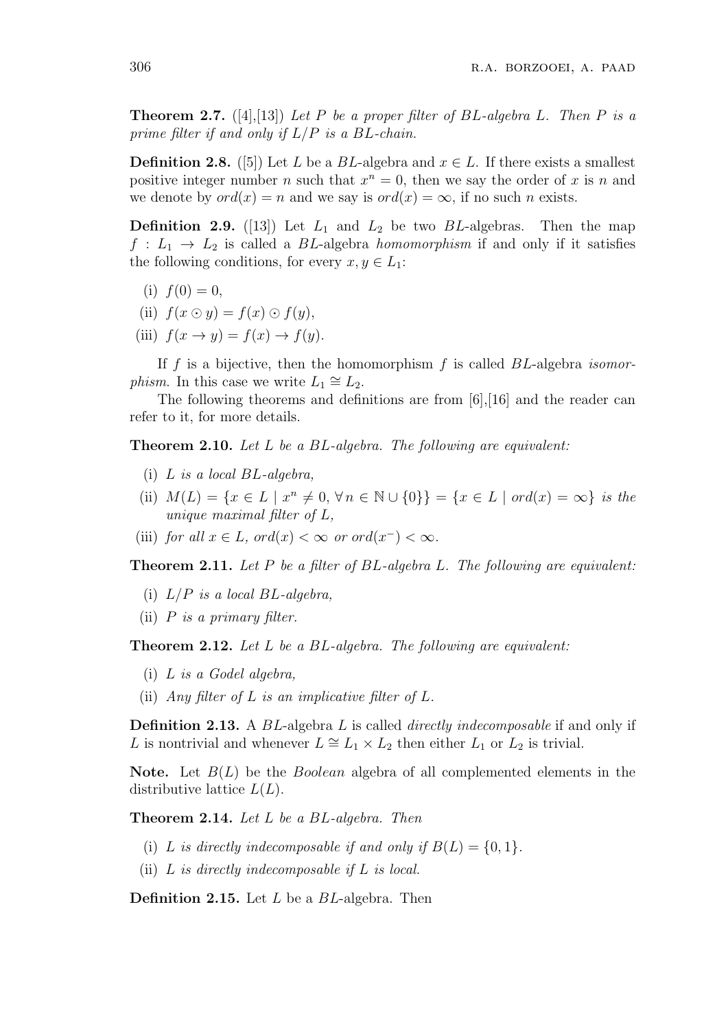**Theorem 2.7.** ([4],[13]) *Let P be a proper filter of BL-algebra L. Then P is a prime filter if and only if L/P is a BL-chain.*

**Definition 2.8.** ([5]) Let *L* be a *BL*-algebra and  $x \in L$ . If there exists a smallest positive integer number *n* such that  $x^n = 0$ , then we say the order of *x* is *n* and we denote by  $ord(x) = n$  and we say is  $ord(x) = \infty$ , if no such *n* exists.

**Definition 2.9.** ([13]) Let  $L_1$  and  $L_2$  be two *BL*-algebras. Then the map  $f: L_1 \rightarrow L_2$  is called a *BL*-algebra *homomorphism* if and only if it satisfies the following conditions, for every  $x, y \in L_1$ :

- (i)  $f(0) = 0$ ,
- (ii)  $f(x \odot y) = f(x) \odot f(y),$
- (iii)  $f(x \rightarrow y) = f(x) \rightarrow f(y)$ .

If *f* is a bijective, then the homomorphism *f* is called *BL*-algebra *isomorphism*. In this case we write  $L_1 \cong L_2$ .

The following theorems and definitions are from [6],[16] and the reader can refer to it, for more details.

**Theorem 2.10.** *Let L be a BL-algebra. The following are equivalent:*

- (i) *L is a local BL-algebra,*
- (ii)  $M(L) = \{x \in L \mid x^n \neq 0, \forall n \in \mathbb{N} \cup \{0\}\} = \{x \in L \mid ord(x) = \infty\}$  is the *unique maximal filter of L,*
- (iii) *for all*  $x \in L$ *, ord*( $x$ ) < ∞ *or ord*( $x$ <sup>-</sup>) < ∞.

**Theorem 2.11.** *Let P be a filter of BL-algebra L. The following are equivalent:*

- (i) *L/P is a local BL-algebra,*
- (ii) *P is a primary filter.*

**Theorem 2.12.** *Let L be a BL-algebra. The following are equivalent:*

- (i) *L is a Godel algebra,*
- (ii) *Any filter of L is an implicative filter of L.*

**Definition 2.13.** A *BL*-algebra *L* is called *directly indecomposable* if and only if *L* is nontrivial and whenever  $L \cong L_1 \times L_2$  then either  $L_1$  or  $L_2$  is trivial.

**Note.** Let *B*(*L*) be the *Boolean* algebra of all complemented elements in the distributive lattice *L*(*L*).

**Theorem 2.14.** *Let L be a BL-algebra. Then*

- (i) *L* is directly indecomposable if and only if  $B(L) = \{0, 1\}$ .
- (ii) *L is directly indecomposable if L is local.*

**Definition 2.15.** Let *L* be a *BL*-algebra. Then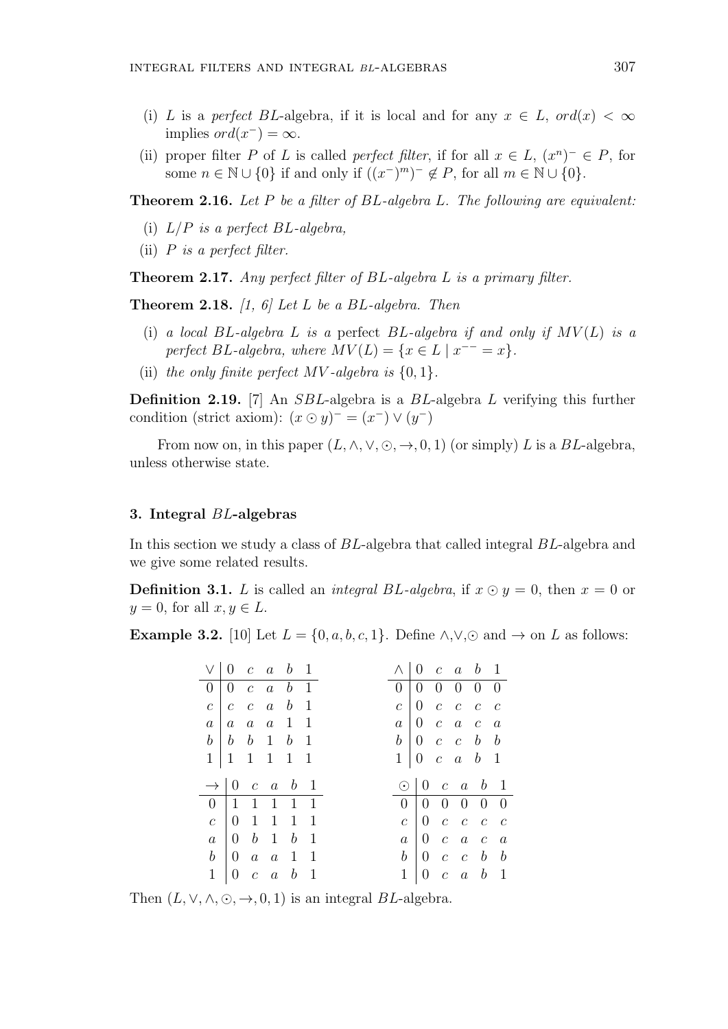- (i) *L* is a *perfect BL*-algebra, if it is local and for any  $x \in L$ ,  $ord(x) < \infty$  $implies ord(x^-) = \infty$ .
- (ii) proper filter *P* of *L* is called *perfect filter*, if for all  $x \in L$ ,  $(x^n)^- \in P$ , for some  $n \in \mathbb{N} \cup \{0\}$  if and only if  $((x^{-})^{m})^{-} \notin P$ , for all  $m \in \mathbb{N} \cup \{0\}$ .

**Theorem 2.16.** *Let P be a filter of BL-algebra L. The following are equivalent:*

- (i) *L/P is a perfect BL-algebra,*
- (ii) *P is a perfect filter.*

**Theorem 2.17.** *Any perfect filter of BL-algebra L is a primary filter.*

**Theorem 2.18.** *[1, 6] Let L be a BL-algebra. Then*

- (i) *a local BL-algebra L is a* perfect *BL-algebra if and only if MV* (*L*) *is a perfect BL*-algebra, where  $MV(L) = \{x \in L \mid x^{--} = x\}.$
- (ii) the only finite perfect  $MV$ -algebra is  $\{0, 1\}$ *.*

**Definition 2.19.** [7] An *SBL*-algebra is a *BL*-algebra *L* verifying this further condition (strict axiom):  $(x \odot y)^{-} = (x^{-}) \vee (y^{-})$ 

From now on, in this paper  $(L, \wedge, \vee, \odot, \rightarrow, 0, 1)$  (or simply) *L* is a *BL*-algebra, unless otherwise state.

#### **3. Integral** *BL***-algebras**

In this section we study a class of *BL*-algebra that called integral *BL*-algebra and we give some related results.

**Definition 3.1.** *L* is called an *integral BL*-algebra, if  $x \odot y = 0$ , then  $x = 0$  or  $y = 0$ , for all  $x, y \in L$ .

**Example 3.2.** [10] Let  $L = \{0, a, b, c, 1\}$ . Define  $\land, \lor, \odot$  and  $\rightarrow$  on *L* as follows:

|                  |  | $\vee$ 0 c a b 1                                         |  |  |                | $\wedge$   0 c a b 1                                |                                                       |  |
|------------------|--|----------------------------------------------------------|--|--|----------------|-----------------------------------------------------|-------------------------------------------------------|--|
|                  |  | $0 \mid 0 \quad c \quad a \quad b \quad 1$               |  |  |                | 0   0 0 0 0 0                                       |                                                       |  |
| $\overline{c}$   |  | $c\ c\ a\ b\ 1$                                          |  |  | c <sub>1</sub> |                                                     | $0\quad c\quad c\quad c\quad c$                       |  |
| a <sub>1</sub>   |  | $a \quad a \quad a \quad 1 \quad 1$                      |  |  |                | $a \mid 0 \quad c \quad a \quad c \quad a$          |                                                       |  |
|                  |  | $b \mid b \mid b \mid 1 \mid b \mid 1$                   |  |  |                | $b \begin{bmatrix} 0 & c & c & b & b \end{bmatrix}$ |                                                       |  |
|                  |  | $1 \mid 1 \mid 1 \mid 1 \mid 1 \mid 1$                   |  |  | $1\vert$       |                                                     | $0 \quad c \quad a \quad b \quad 1$                   |  |
|                  |  |                                                          |  |  |                |                                                     |                                                       |  |
|                  |  | $\rightarrow 0$ c a b 1                                  |  |  |                | $\odot$   0 c a b 1                                 |                                                       |  |
|                  |  | $0 \mid 1 \quad 1 \quad 1 \quad 1 \quad 1$               |  |  |                | 0   0 0 0 0 0                                       |                                                       |  |
| $\overline{c}$   |  | $\begin{array}{ccccccccc} 0 & 1 & 1 & 1 & 1 \end{array}$ |  |  | $\mathcal{C}$  |                                                     | $\begin{array}{cccccc} 0 & c & c & c & c \end{array}$ |  |
| $\boldsymbol{a}$ |  | $\begin{bmatrix} 0 & b & 1 & b & 1 \end{bmatrix}$        |  |  | $\,a$          |                                                     | $\begin{array}{cccccc} 0 & c & a & c & a \end{array}$ |  |
|                  |  | $b \mid 0 \quad a \quad a \quad 1 \quad 1$               |  |  |                | $b \begin{bmatrix} 0 & c & c & b & b \end{bmatrix}$ |                                                       |  |

Then  $(L, \vee, \wedge, \odot, \rightarrow, 0, 1)$  is an integral *BL*-algebra.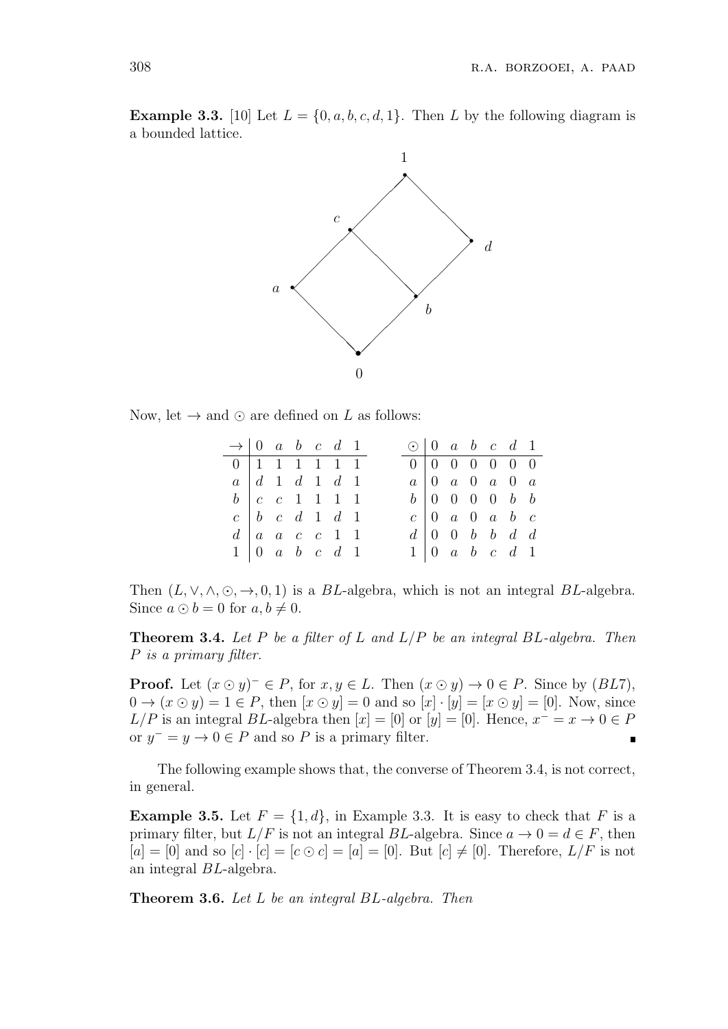**Example 3.3.** [10] Let  $L = \{0, a, b, c, d, 1\}$ . Then *L* by the following diagram is a bounded lattice.



Now, let  $\rightarrow$  and  $\odot$  are defined on *L* as follows:

| $\rightarrow$ 0 a b c d 1                               |                                                     |  |  |  | $\odot$   0 a b c d 1 |  |  |                                                         |  |
|---------------------------------------------------------|-----------------------------------------------------|--|--|--|-----------------------|--|--|---------------------------------------------------------|--|
| $\boxed{0}$ 1 1 1 1 1 1                                 |                                                     |  |  |  |                       |  |  | $0 \ 0 \ 0 \ 0 \ 0 \ 0 \ 0$                             |  |
| $a \mid d \quad 1 \quad d \quad 1 \quad d \quad 1$      |                                                     |  |  |  |                       |  |  | $a \begin{bmatrix} 0 & a & 0 & a & 0 & a \end{bmatrix}$ |  |
| $b \begin{bmatrix} c & c & 1 & 1 & 1 & 1 \end{bmatrix}$ |                                                     |  |  |  |                       |  |  | $b \begin{bmatrix} 0 & 0 & 0 & 0 & b & b \end{bmatrix}$ |  |
|                                                         | $c \vert b \vert c \vert d \vert 1 \vert d \vert 1$ |  |  |  |                       |  |  | $c \begin{bmatrix} 0 & a & 0 & a & b & c \end{bmatrix}$ |  |
|                                                         | $d \mid a \mid a \mid c \mid c \mid 1 \mid 1$       |  |  |  |                       |  |  | $d \begin{bmatrix} 0 & 0 & b & b & d & d \end{bmatrix}$ |  |
|                                                         | $1 \vert 0 \ a \ b \ c \ d \ 1$                     |  |  |  |                       |  |  | $1 \vert 0 \ a \ b \ c \ d \ 1$                         |  |

Then  $(L, \vee, \wedge, \odot, \rightarrow, 0, 1)$  is a *BL*-algebra, which is not an integral *BL*-algebra. Since  $a \odot b = 0$  for  $a, b \neq 0$ .

**Theorem 3.4.** *Let P be a filter of L and L/P be an integral BL-algebra. Then P is a primary filter.*

**Proof.** Let  $(x \odot y)^{-} \in P$ , for  $x, y \in L$ . Then  $(x \odot y) \rightarrow 0 \in P$ . Since by  $(BL7)$ ,  $0 \rightarrow (x \odot y) = 1 \in P$ , then  $[x \odot y] = 0$  and so  $[x] \cdot [y] = [x \odot y] = [0]$ . Now, since  $L/P$  is an integral *BL*-algebra then  $[x] = [0]$  or  $[y] = [0]$ . Hence,  $x^{-} = x \rightarrow 0 \in P$ or  $y^- = y \to 0 \in P$  and so P is a primary filter.

The following example shows that, the converse of Theorem 3.4, is not correct, in general.

**Example 3.5.** Let  $F = \{1, d\}$ , in Example 3.3. It is easy to check that *F* is a primary filter, but  $L/F$  is not an integral *BL*-algebra. Since  $a \to 0 = d \in F$ , then  $[a] = [0]$  and so  $[c] \cdot [c] = [c \odot c] = [a] = [0]$ . But  $[c] \neq [0]$ . Therefore,  $L/F$  is not an integral *BL*-algebra.

**Theorem 3.6.** *Let L be an integral BL-algebra. Then*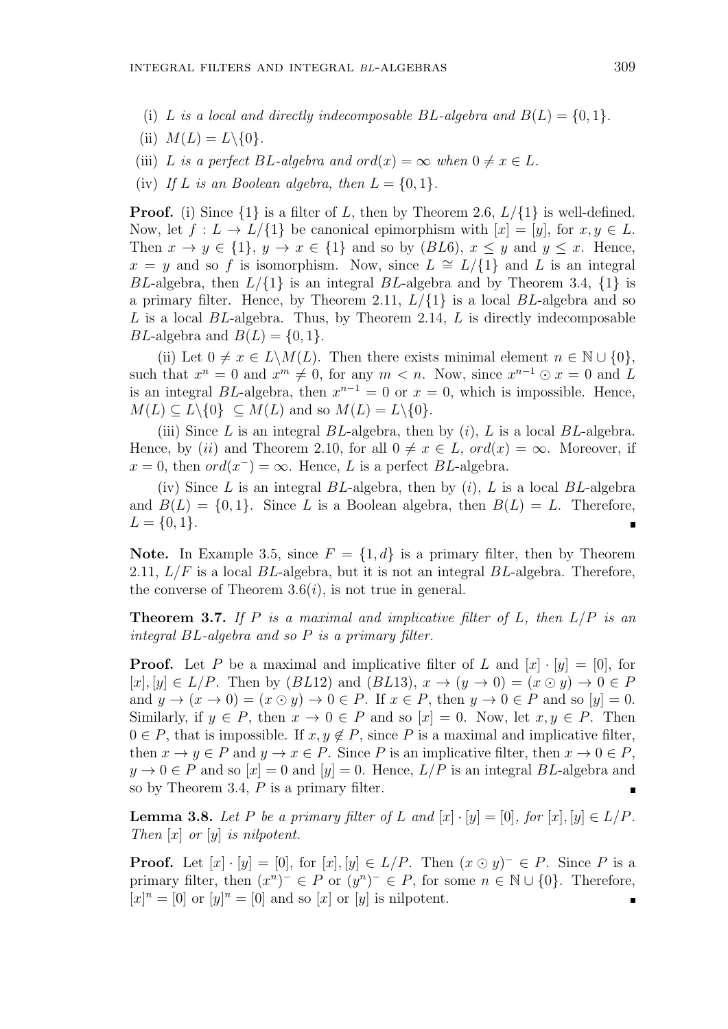- (i) *L* is a local and directly indecomposable  $BL$ -algebra and  $B(L) = \{0, 1\}$ .
- (ii)  $M(L) = L \setminus \{0\}$ .
- (iii) *L is a perfect BL*-algebra and  $ord(x) = \infty$  when  $0 \neq x \in L$ .
- (iv) If *L* is an Boolean algebra, then  $L = \{0, 1\}$ .

**Proof.** (i) Since  $\{1\}$  is a filter of *L*, then by Theorem 2.6,  $L/\{1\}$  is well-defined. Now, let  $f: L \to L/\{1\}$  be canonical epimorphism with  $[x] = [y]$ , for  $x, y \in L$ . Then  $x \to y \in \{1\}$ ,  $y \to x \in \{1\}$  and so by (*BL*6),  $x \leq y$  and  $y \leq x$ . Hence,  $x = y$  and so *f* is isomorphism. Now, since  $L \cong L/\{1\}$  and *L* is an integral *BL*-algebra, then *L/{*1*}* is an integral *BL*-algebra and by Theorem 3.4, *{*1*}* is a primary filter. Hence, by Theorem 2.11, *L/{*1*}* is a local *BL*-algebra and so *L* is a local *BL*-algebra. Thus, by Theorem 2.14, *L* is directly indecomposable *BL*-algebra and  $B(L) = \{0, 1\}$ .

(ii) Let  $0 \neq x \in L\backslash M(L)$ . Then there exists minimal element  $n \in \mathbb{N} \cup \{0\}$ , such that  $x^n = 0$  and  $x^m \neq 0$ , for any  $m < n$ . Now, since  $x^{n-1} \odot x = 0$  and L is an integral *BL*-algebra, then  $x^{n-1} = 0$  or  $x = 0$ , which is impossible. Hence,  $M(L) \subset L \setminus \{0\} \subset M(L)$  and so  $M(L) = L \setminus \{0\}$ .

(iii) Since *L* is an integral *BL*-algebra, then by (*i*), *L* is a local *BL*-algebra. Hence, by (*ii*) and Theorem 2.10, for all  $0 \neq x \in L$ ,  $ord(x) = \infty$ . Moreover, if  $x = 0$ , then  $ord(x^-) = \infty$ . Hence, *L* is a perfect *BL*-algebra.

(iv) Since *L* is an integral *BL*-algebra, then by (*i*), *L* is a local *BL*-algebra and  $B(L) = \{0, 1\}$ . Since L is a Boolean algebra, then  $B(L) = L$ . Therefore,  $L = \{0, 1\}.$ 

**Note.** In Example 3.5, since  $F = \{1, d\}$  is a primary filter, then by Theorem 2.11, *L/F* is a local *BL*-algebra, but it is not an integral *BL*-algebra. Therefore, the converse of Theorem  $3.6(i)$ , is not true in general.

**Theorem 3.7.** *If P is a maximal and implicative filter of L, then L/P is an integral BL-algebra and so P is a primary filter.*

**Proof.** Let P be a maximal and implicative filter of L and  $[x] \cdot [y] = [0]$ , for  $[x]$ *,*  $[y] \in L/P$ . Then by  $(BL12)$  and  $(BL13)$ ,  $x \to (y \to 0) = (x \odot y) \to 0 \in P$ and  $y \to (x \to 0) = (x \odot y) \to 0 \in P$ . If  $x \in P$ , then  $y \to 0 \in P$  and so  $[y] = 0$ . Similarly, if  $y \in P$ , then  $x \to 0 \in P$  and so  $[x] = 0$ . Now, let  $x, y \in P$ . Then  $0 \in P$ , that is impossible. If  $x, y \notin P$ , since P is a maximal and implicative filter, then  $x \to y \in P$  and  $y \to x \in P$ . Since *P* is an implicative filter, then  $x \to 0 \in P$ ,  $y \to 0 \in P$  and so  $[x] = 0$  and  $[y] = 0$ . Hence,  $L/P$  is an integral *BL*-algebra and so by Theorem 3.4, *P* is a primary filter. П

**Lemma 3.8.** *Let P be a primary filter of L and*  $[x] \cdot [y] = [0]$ *, for*  $[x]$ *,*  $[y] \in L/P$ *. Then* [*x*] *or* [*y*] *is nilpotent.*

**Proof.** Let  $[x] \cdot [y] = [0]$ , for  $[x] \cdot [y] \in L/P$ . Then  $(x \odot y)^{-} \in P$ . Since P is a primary filter, then  $(x^n)^- \in P$  or  $(y^n)^- \in P$ , for some  $n \in \mathbb{N} \cup \{0\}$ . Therefore,  $[x]^n = [0]$  or  $[y]^n = [0]$  and so  $[x]$  or  $[y]$  is nilpotent. п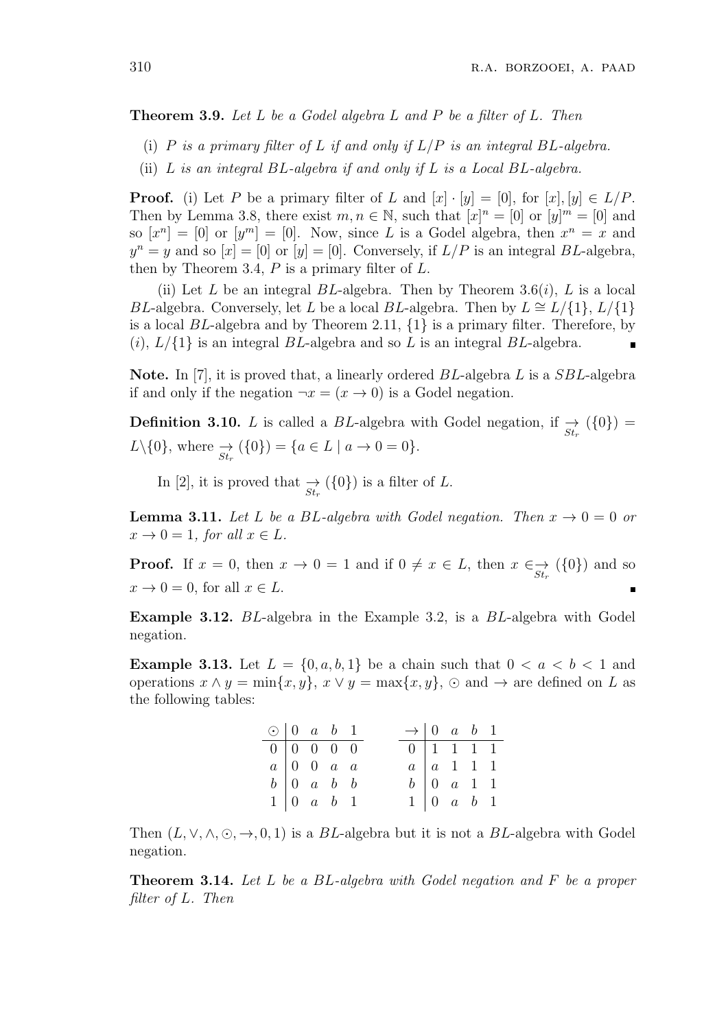**Theorem 3.9.** *Let L be a Godel algebra L and P be a filter of L. Then*

- (i) *P is a primary filter of L if and only if L/P is an integral BL-algebra.*
- (ii) *L is an integral BL-algebra if and only if L is a Local BL-algebra.*

**Proof.** (i) Let *P* be a primary filter of *L* and  $[x] \cdot [y] = [0]$ , for  $[x] \cdot [y] \in L/P$ . Then by Lemma 3.8, there exist  $m, n \in \mathbb{N}$ , such that  $[x]^n = [0]$  or  $[y]^m = [0]$  and so  $[x^n] = [0]$  or  $[y^m] = [0]$ . Now, since *L* is a Godel algebra, then  $x^n = x$  and  $y^n = y$  and so  $[x] = [0]$  or  $[y] = [0]$ . Conversely, if  $L/P$  is an integral *BL*-algebra, then by Theorem 3.4, *P* is a primary filter of *L*.

(ii) Let *L* be an integral *BL*-algebra. Then by Theorem 3.6(*i*), *L* is a local *BL*-algebra. Conversely, let *L* be a local *BL*-algebra. Then by  $L \cong L/\{1\}$ ,  $L/\{1\}$ is a local *BL*-algebra and by Theorem 2.11, *{*1*}* is a primary filter. Therefore, by  $(i)$ ,  $L/\{1\}$  is an integral *BL*-algebra and so *L* is an integral *BL*-algebra.

**Note.** In [7], it is proved that, a linearly ordered *BL*-algebra *L* is a *SBL*-algebra if and only if the negation  $\neg x = (x \rightarrow 0)$  is a Godel negation.

**Definition 3.10.** *L* is called a *BL*-algebra with Godel negation, if  $\frac{\rightarrow}{St_r}$  ({0}) =  $L \setminus \{0\}$ , where  $\frac{\rightarrow}{St_r} (\{0\}) = \{a \in L \mid a \to 0 = 0\}.$ 

In [2], it is proved that  $\frac{\rightarrow}{St_r}$  ({0}) is a filter of *L*.

**Lemma 3.11.** Let L be a BL-algebra with Godel negation. Then  $x \to 0 = 0$  or  $x \rightarrow 0 = 1$ *, for all*  $x \in L$ *.* 

**Proof.** If  $x = 0$ , then  $x \to 0 = 1$  and if  $0 \neq x \in L$ , then  $x \in \mathcal{S}_{t_r}$  ( $\{0\}$ ) and so  $x \to 0 = 0$ , for all  $x \in L$ .

**Example 3.12.** *BL*-algebra in the Example 3.2, is a *BL*-algebra with Godel negation.

**Example 3.13.** Let  $L = \{0, a, b, 1\}$  be a chain such that  $0 < a < b < 1$  and operations  $x \wedge y = \min\{x, y\}$ ,  $x \vee y = \max\{x, y\}$ ,  $\odot$  and  $\rightarrow$  are defined on *L* as the following tables:

| $\odot$   0 a b 1                                           |                                                 |  | $\rightarrow$ 0 a b 1              |                                                 |  |
|-------------------------------------------------------------|-------------------------------------------------|--|------------------------------------|-------------------------------------------------|--|
| $\boxed{0}$ $\boxed{0}$ $\boxed{0}$ $\boxed{0}$ $\boxed{0}$ |                                                 |  | $0 \mid 1 \quad 1 \quad 1 \quad 1$ |                                                 |  |
|                                                             | $a \begin{bmatrix} 0 & 0 & a & a \end{bmatrix}$ |  |                                    | $a \mid a \quad 1 \quad 1 \quad 1$              |  |
|                                                             | $b \begin{bmatrix} 0 & a & b & b \end{bmatrix}$ |  |                                    | $b \begin{bmatrix} 0 & a & 1 & 1 \end{bmatrix}$ |  |
|                                                             | $1 \vert 0 \ a \ b \ 1$                         |  |                                    | $1 \mid 0 \quad a \quad b \quad 1$              |  |

Then  $(L, \vee, \wedge, \odot, \rightarrow, 0, 1)$  is a *BL*-algebra but it is not a *BL*-algebra with Godel negation.

**Theorem 3.14.** *Let L be a BL-algebra with Godel negation and F be a proper filter of L. Then*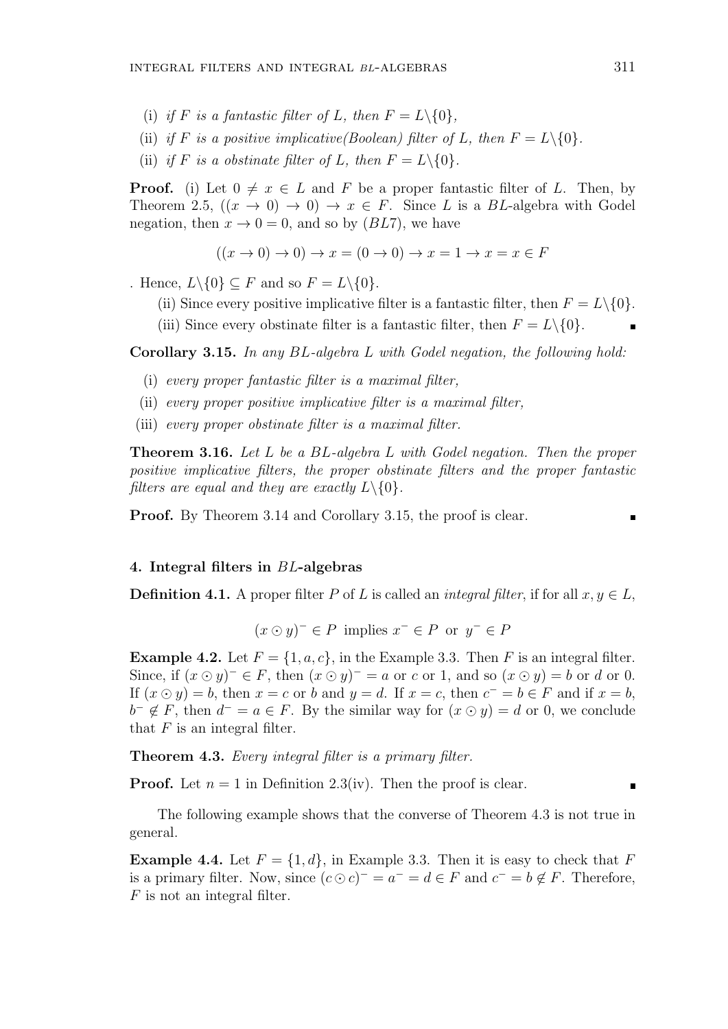- (i) *if F is a fantastic filter of L, then*  $F = L \setminus \{0\}$ *,*
- (ii) *if F is a positive implicative(Boolean) filter of L, then*  $F = L \setminus \{0\}$ *.*
- (ii) *if F is a obstinate filter of L, then*  $F = L \setminus \{0\}$ *.*

**Proof.** (i) Let  $0 \neq x \in L$  and F be a proper fantastic filter of L. Then, by Theorem 2.5,  $((x \rightarrow 0) \rightarrow 0) \rightarrow x \in F$ . Since *L* is a *BL*-algebra with Godel negation, then  $x \to 0 = 0$ , and so by (*BL*7), we have

$$
((x \to 0) \to 0) \to x = (0 \to 0) \to x = 1 \to x = x \in F
$$

. Hence,  $L \setminus \{0\} \subseteq F$  and so  $F = L \setminus \{0\}$ .

- (ii) Since every positive implicative filter is a fantastic filter, then  $F = L \setminus \{0\}$ .
- (iii) Since every obstinate filter is a fantastic filter, then  $F = L \setminus \{0\}.$

**Corollary 3.15.** *In any BL-algebra L with Godel negation, the following hold:*

- (i) *every proper fantastic filter is a maximal filter,*
- (ii) *every proper positive implicative filter is a maximal filter,*
- (iii) *every proper obstinate filter is a maximal filter.*

**Theorem 3.16.** *Let L be a BL-algebra L with Godel negation. Then the proper positive implicative filters, the proper obstinate filters and the proper fantastic filters are equal and they are exactly*  $L \setminus \{0\}$ *.* 

**Proof.** By Theorem 3.14 and Corollary 3.15, the proof is clear.

## **4. Integral filters in** *BL***-algebras**

**Definition 4.1.** A proper filter *P* of *L* is called an *integral filter*, if for all  $x, y \in L$ ,

 $(x \odot y)^{-} \in P$  implies  $x^{-} \in P$  or  $y^{-} \in P$ 

**Example 4.2.** Let  $F = \{1, a, c\}$ , in the Example 3.3. Then *F* is an integral filter. Since, if  $(x \odot y)^{-} \in F$ , then  $(x \odot y)^{-} = a$  or *c* or 1, and so  $(x \odot y) = b$  or *d* or 0. If  $(x \odot y) = b$ , then  $x = c$  or *b* and  $y = d$ . If  $x = c$ , then  $c^- = b \in F$  and if  $x = b$ ,  $b^- \notin F$ , then  $d^- = a \in F$ . By the similar way for  $(x \odot y) = d$  or 0, we conclude that  $F$  is an integral filter.

**Theorem 4.3.** *Every integral filter is a primary filter.*

**Proof.** Let  $n = 1$  in Definition 2.3(iv). Then the proof is clear.

The following example shows that the converse of Theorem 4.3 is not true in general.

**Example 4.4.** Let  $F = \{1, d\}$ , in Example 3.3. Then it is easy to check that F is a primary filter. Now, since  $(c \odot c)^{-} = a^{-} = d \in F$  and  $c^{-} = b \notin F$ . Therefore, *F* is not an integral filter.

 $\blacksquare$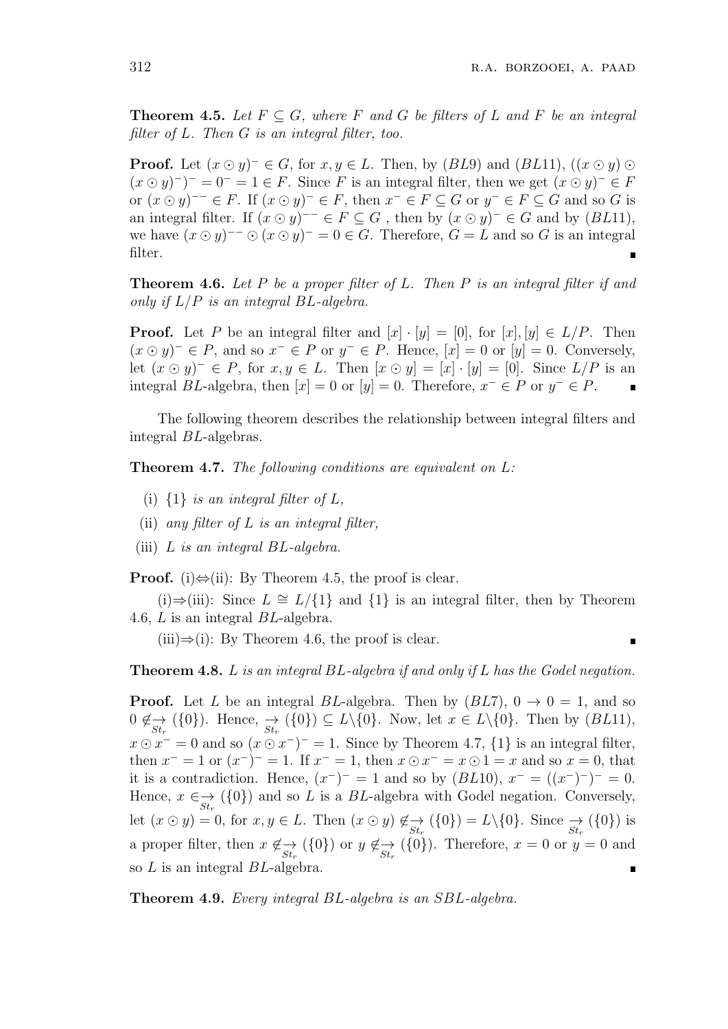**Theorem 4.5.** Let  $F \subseteq G$ , where  $F$  and  $G$  be filters of  $L$  and  $F$  be an integral *filter of L. Then G is an integral filter, too.*

**Proof.** Let  $(x \odot y)^{-} \in G$ , for  $x, y \in L$ . Then, by  $(BL9)$  and  $(BL11)$ ,  $((x \odot y) \odot$  $(x \odot y)^{-}$ <sup> $-$ </sup> = 0<sup>-</sup> = 1  $\in$  *F*. Since *F* is an integral filter, then we get  $(x \odot y)^{-} \in$  *F* or  $(x \odot y)^{-1} \in F$ . If  $(x \odot y)^{-} \in F$ , then  $x^{-} \in F \subseteq G$  or  $y^{-} \in F \subseteq G$  and so G is an integral filter. If  $(x \odot y)^{-1} \in F \subseteq G$ , then by  $(x \odot y)^{-1} \in G$  and by  $(BL11)$ , we have  $(x \odot y)^{-1} \odot (x \odot y)^{-1} = 0 \in G$ . Therefore,  $G = L$  and so G is an integral filter.

**Theorem 4.6.** *Let P be a proper filter of L. Then P is an integral filter if and only if L/P is an integral BL-algebra.*

**Proof.** Let *P* be an integral filter and  $[x] \cdot [y] = [0]$ , for  $[x] \cdot [y] \in L/P$ . Then  $(x \odot y)^{-} \in P$ , and so  $x^{-} \in P$  or  $y^{-} \in P$ . Hence,  $[x] = 0$  or  $[y] = 0$ . Conversely, let  $(x ⊙ y)$ <sup>−</sup>  $∈$  *P*, for  $x, y ∈ L$ . Then  $[x ⊙ y] = [x] \cdot [y] = [0]$ . Since  $L/P$  is an integral *BL*-algebra, then  $[x] = 0$  or  $[y] = 0$ . Therefore,  $x^- \in P$  or  $y^- \in P$ .

The following theorem describes the relationship between integral filters and integral *BL*-algebras.

**Theorem 4.7.** *The following conditions are equivalent on L:*

- (i)  $\{1\}$  *is an integral filter of*  $L$ *,*
- (ii) *any filter of L is an integral filter,*
- (iii) *L is an integral BL-algebra.*

**Proof.** (i)*⇔*(ii): By Theorem 4.5, the proof is clear.

(i)*⇒*(iii): Since *L ∼*= *L/{*1*}* and *{*1*}* is an integral filter, then by Theorem 4.6, *L* is an integral *BL*-algebra.

(iii)*⇒*(i): By Theorem 4.6, the proof is clear.

**Theorem 4.8.** *L is an integral BL-algebra if and only if L has the Godel negation.*

**Proof.** Let *L* be an integral *BL*-algebra. Then by  $(BL7)$ ,  $0 \rightarrow 0 = 1$ , and so  $0 \notin \mathcal{L}_{St_r}(\{0\})$ . Hence,  $\mathcal{L}_{St_r}(\{0\}) \subseteq L \setminus \{0\}$ . Now, let  $x \in L \setminus \{0\}$ . Then by  $(BL11)$ ,  $x \odot x^- = 0$  and so  $(x \odot x^-)^- = 1$ . Since by Theorem 4.7,  $\{1\}$  is an integral filter, then  $x^- = 1$  or  $(x^-)^- = 1$ . If  $x^- = 1$ , then  $x \odot x^- = x \odot 1 = x$  and so  $x = 0$ , that it is a contradiction. Hence,  $(x^-)^- = 1$  and so by  $(BL10)$ ,  $x^- = ((x^-)^-)^- = 0$ . Hence,  $x \in \mathcal{S}_{st_r}$  ( $\{0\}$ ) and so *L* is a *BL*-algebra with Godel negation. Conversely, let  $(x \odot y) = 0$ , for  $x, y \in L$ . Then  $(x \odot y) \notin \mathcal{A}_{St_r}({0}) = L\backslash{0}$ . Since  $\mathcal{A}_{St_r}({0})$  is a proper filter, then  $x \notin \mathcal{L}_{St_r}(\{0\})$  or  $y \notin \mathcal{L}_{St_r}(\{0\})$ . Therefore,  $x = 0$  or  $y = 0$  and so *L* is an integral *BL*-algebra.

**Theorem 4.9.** *Every integral BL-algebra is an SBL-algebra.*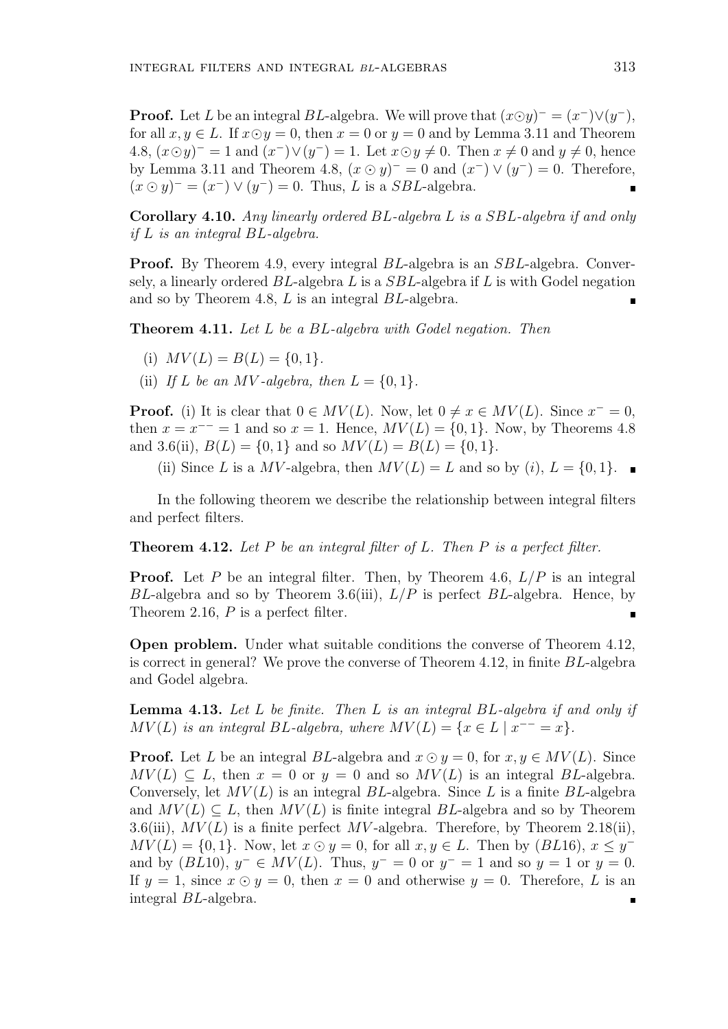**Proof.** Let *L* be an integral *BL*-algebra. We will prove that  $(x \odot y)^{-} = (x^{-}) \vee (y^{-})$ , for all  $x, y \in L$ . If  $x \odot y = 0$ , then  $x = 0$  or  $y = 0$  and by Lemma 3.11 and Theorem 4.8,  $(x \odot y)^{-} = 1$  and  $(x^{-}) \vee (y^{-}) = 1$ . Let  $x \odot y \neq 0$ . Then  $x \neq 0$  and  $y \neq 0$ , hence by Lemma 3.11 and Theorem 4.8,  $(x \odot y)^{-} = 0$  and  $(x^{-}) \vee (y^{-}) = 0$ . Therefore,  $(x \odot y)^{-} = (x^{-}) \vee (y^{-}) = 0$ . Thus, *L* is a *SBL*-algebra.

**Corollary 4.10.** *Any linearly ordered BL-algebra L is a SBL-algebra if and only if L is an integral BL-algebra.*

**Proof.** By Theorem 4.9, every integral *BL*-algebra is an *SBL*-algebra. Conversely, a linearly ordered *BL*-algebra *L* is a *SBL*-algebra if *L* is with Godel negation and so by Theorem 4.8, *L* is an integral *BL*-algebra.

**Theorem 4.11.** *Let L be a BL-algebra with Godel negation. Then*

- (i)  $MV(L) = B(L) = \{0, 1\}.$
- (ii) If *L* be an *MV*-algebra, then  $L = \{0, 1\}$ .

**Proof.** (i) It is clear that  $0 \in MV(L)$ . Now, let  $0 \neq x \in MV(L)$ . Since  $x^{-} = 0$ , then  $x = x^{--} = 1$  and so  $x = 1$ . Hence,  $MV(L) = \{0, 1\}$ . Now, by Theorems 4.8 and 3.6(ii),  $B(L) = \{0, 1\}$  and so  $MV(L) = B(L) = \{0, 1\}$ .

(ii) Since *L* is a *MV*-algebra, then  $MV(L) = L$  and so by (*i*),  $L = \{0, 1\}$ .

In the following theorem we describe the relationship between integral filters and perfect filters.

**Theorem 4.12.** *Let P be an integral filter of L. Then P is a perfect filter.*

**Proof.** Let *P* be an integral filter. Then, by Theorem 4.6,  $L/P$  is an integral *BL*-algebra and so by Theorem 3.6(iii), *L/P* is perfect *BL*-algebra. Hence, by Theorem 2.16, *P* is a perfect filter.

**Open problem.** Under what suitable conditions the converse of Theorem 4.12, is correct in general? We prove the converse of Theorem 4.12, in finite *BL*-algebra and Godel algebra.

**Lemma 4.13.** *Let L be finite. Then L is an integral BL-algebra if and only if*  $MV(L)$  *is an integral*  $BL$ *-algebra, where*  $MV(L) = \{x \in L \mid x^{--} = x\}.$ 

**Proof.** Let *L* be an integral *BL*-algebra and  $x \odot y = 0$ , for  $x, y \in MV(L)$ . Since  $MV(L) \subseteq L$ , then  $x = 0$  or  $y = 0$  and so  $MV(L)$  is an integral *BL*-algebra. Conversely, let  $MV(L)$  is an integral  $BL$ -algebra. Since  $L$  is a finite  $BL$ -algebra and  $MV(L) \subseteq L$ , then  $MV(L)$  is finite integral  $BL$ -algebra and so by Theorem 3.6(iii),  $MV(L)$  is a finite perfect MV-algebra. Therefore, by Theorem 2.18(ii),  $MV(L) = \{0, 1\}$ . Now, let  $x \odot y = 0$ , for all  $x, y \in L$ . Then by  $(BL16)$ ,  $x \leq y^{-1}$ and by  $(BL10)$ ,  $y^- \in MV(L)$ . Thus,  $y^- = 0$  or  $y^- = 1$  and so  $y = 1$  or  $y = 0$ . If  $y = 1$ , since  $x \odot y = 0$ , then  $x = 0$  and otherwise  $y = 0$ . Therefore, L is an integral *BL*-algebra.п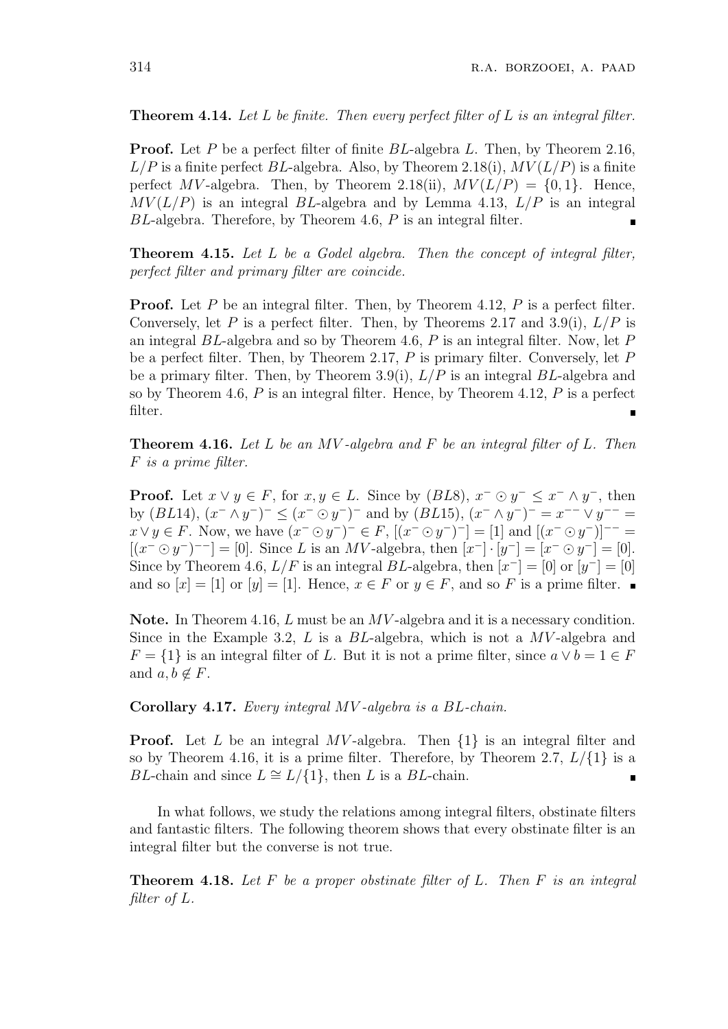**Theorem 4.14.** *Let L be finite. Then every perfect filter of L is an integral filter.*

**Proof.** Let *P* be a perfect filter of finite *BL*-algebra *L*. Then, by Theorem 2.16,  $L/P$  is a finite perfect *BL*-algebra. Also, by Theorem 2.18(i),  $MV(L/P)$  is a finite perfect *MV*-algebra. Then, by Theorem 2.18(ii),  $MV(L/P) = \{0, 1\}$ . Hence,  $MV(L/P)$  is an integral *BL*-algebra and by Lemma 4.13,  $L/P$  is an integral *BL*-algebra. Therefore, by Theorem 4.6, *P* is an integral filter.

**Theorem 4.15.** *Let L be a Godel algebra. Then the concept of integral filter, perfect filter and primary filter are coincide.*

**Proof.** Let *P* be an integral filter. Then, by Theorem 4.12, *P* is a perfect filter. Conversely, let P is a perfect filter. Then, by Theorems 2.17 and 3.9(i),  $L/P$  is an integral *BL*-algebra and so by Theorem 4.6, *P* is an integral filter. Now, let *P* be a perfect filter. Then, by Theorem 2.17, *P* is primary filter. Conversely, let *P* be a primary filter. Then, by Theorem 3.9(i), *L/P* is an integral *BL*-algebra and so by Theorem 4.6, *P* is an integral filter. Hence, by Theorem 4.12, *P* is a perfect filter.  $\blacksquare$ 

**Theorem 4.16.** *Let L be an MV -algebra and F be an integral filter of L. Then F is a prime filter.*

**Proof.** Let  $x \lor y \in F$ , for  $x, y \in L$ . Since by  $(BL8)$ ,  $x^- \odot y^- \leq x^- \land y^-$ , then by  $(BL14)$ ,  $(x^- \wedge y^-)^- \le (x^- \odot y^-)^-$  and by  $(BL15)$ ,  $(x^- \wedge y^-)^- = x^{--} \vee y^{--} =$  $x \vee y \in F$ . Now, we have  $(x^- \odot y^-)^- \in F$ ,  $[(x^- \odot y^-)^-]= [1]$  and  $[(x^- \odot y^-)]^{--}$  $[(x^- \odot y^-)^{--}] = [0].$  Since *L* is an *MV*-algebra, then  $[x^-] \cdot [y^-] = [x^- \odot y^-] = [0].$ Since by Theorem 4.6,  $L/F$  is an integral  $BL$ -algebra, then  $[x^-] = [0]$  or  $[y^-] = [0]$ and so  $[x] = [1]$  or  $[y] = [1]$ . Hence,  $x \in F$  or  $y \in F$ , and so F is a prime filter.

**Note.** In Theorem 4.16, *L* must be an *MV* -algebra and it is a necessary condition. Since in the Example 3.2, *L* is a *BL*-algebra, which is not a *MV* -algebra and  $F = \{1\}$  is an integral filter of *L*. But it is not a prime filter, since  $a \vee b = 1 \in F$ and  $a, b \notin F$ .

**Corollary 4.17.** *Every integral MV -algebra is a BL-chain.*

**Proof.** Let *L* be an integral *MV* -algebra. Then *{*1*}* is an integral filter and so by Theorem 4.16, it is a prime filter. Therefore, by Theorem 2.7,  $L/\{1\}$  is a *BL*-chain and since  $L \cong L/\{1\}$ , then *L* is a *BL*-chain. П

In what follows, we study the relations among integral filters, obstinate filters and fantastic filters. The following theorem shows that every obstinate filter is an integral filter but the converse is not true.

**Theorem 4.18.** *Let F be a proper obstinate filter of L. Then F is an integral filter of L.*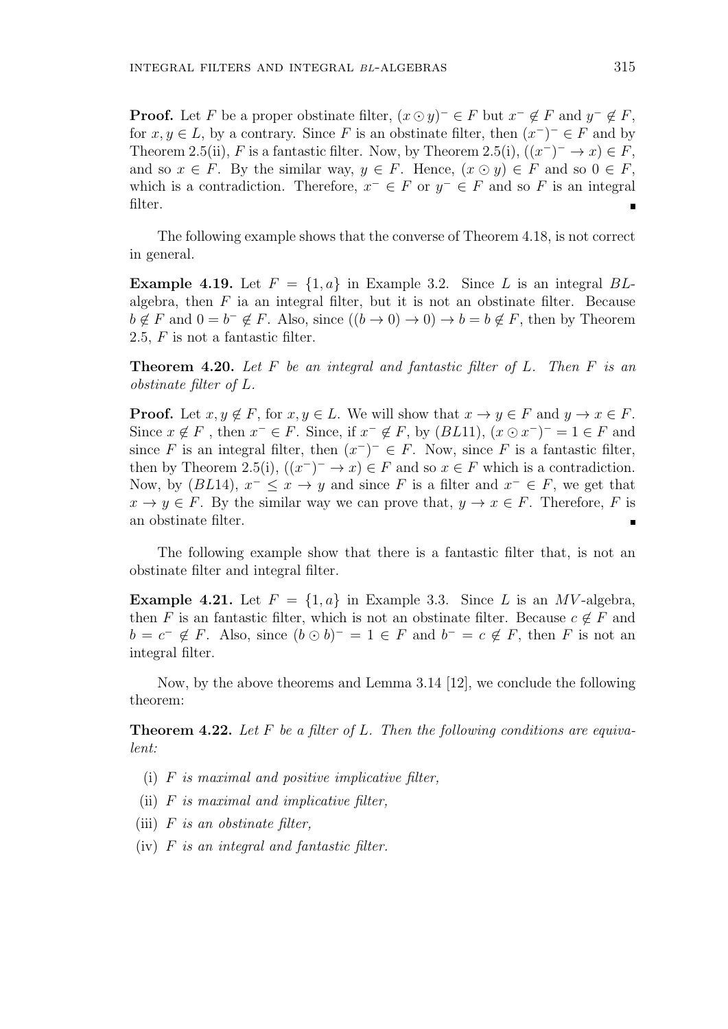**Proof.** Let *F* be a proper obstinate filter,  $(x \odot y)^{-} \in F$  but  $x^{-} \notin F$  and  $y^{-} \notin F$ , for  $x, y \in L$ , by a contrary. Since F is an obstinate filter, then  $(x^-)^- \in F$  and by Theorem 2.5(ii), *F* is a fantastic filter. Now, by Theorem 2.5(i),  $((x^-)^- \to x) \in F$ , and so  $x \in F$ . By the similar way,  $y \in F$ . Hence,  $(x \odot y) \in F$  and so  $0 \in F$ , which is a contradiction. Therefore,  $x^- \in F$  or  $y^- \in F$  and so F is an integral filter.

The following example shows that the converse of Theorem 4.18, is not correct in general.

**Example 4.19.** Let  $F = \{1, a\}$  in Example 3.2. Since L is an integral BLalgebra, then  $F$  ia an integral filter, but it is not an obstinate filter. Because  $b \notin F$  and  $0 = b^- \notin F$ . Also, since  $((b \to 0) \to 0) \to b = b \notin F$ , then by Theorem 2.5, *F* is not a fantastic filter.

**Theorem 4.20.** *Let F be an integral and fantastic filter of L. Then F is an obstinate filter of L.*

**Proof.** Let  $x, y \notin F$ , for  $x, y \in L$ . We will show that  $x \to y \in F$  and  $y \to x \in F$ . Since  $x \notin F$ , then  $x^- \in F$ . Since, if  $x^- \notin F$ , by  $(BL11)$ ,  $(x \odot x^-)^- = 1 \in F$  and since *F* is an integral filter, then  $(x^-)^- \in F$ . Now, since *F* is a fantastic filter, then by Theorem 2.5(i),  $((x^-)^- \to x) \in F$  and so  $x \in F$  which is a contradiction. Now, by  $(BL14)$ ,  $x^{-} \leq x \to y$  and since *F* is a filter and  $x^{-} \in F$ , we get that  $x \to y \in F$ . By the similar way we can prove that,  $y \to x \in F$ . Therefore, *F* is an obstinate filter.

The following example show that there is a fantastic filter that, is not an obstinate filter and integral filter.

**Example 4.21.** Let  $F = \{1, a\}$  in Example 3.3. Since *L* is an *MV*-algebra, then *F* is an fantastic filter, which is not an obstinate filter. Because  $c \notin F$  and  $b = c^- \notin F$ . Also, since  $(b \odot b)^- = 1 \in F$  and  $b^- = c \notin F$ , then *F* is not an integral filter.

Now, by the above theorems and Lemma 3.14 [12], we conclude the following theorem:

**Theorem 4.22.** *Let F be a filter of L. Then the following conditions are equivalent:*

- (i) *F is maximal and positive implicative filter,*
- (ii) *F is maximal and implicative filter,*
- (iii) *F is an obstinate filter,*
- (iv) *F is an integral and fantastic filter.*